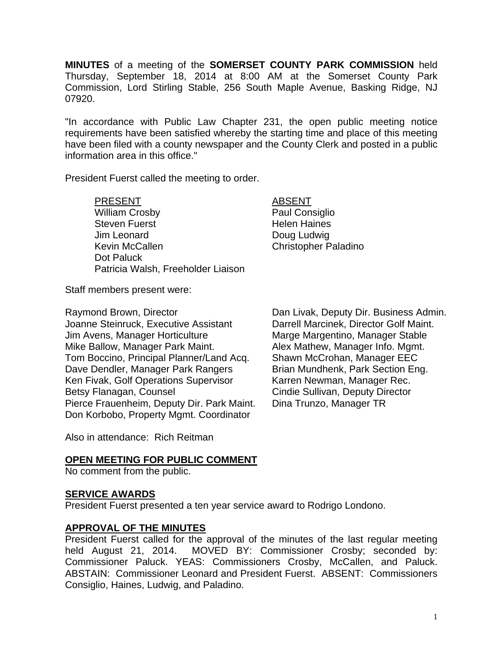**MINUTES** of a meeting of the **SOMERSET COUNTY PARK COMMISSION** held Thursday, September 18, 2014 at 8:00 AM at the Somerset County Park Commission, Lord Stirling Stable, 256 South Maple Avenue, Basking Ridge, NJ 07920.

"In accordance with Public Law Chapter 231, the open public meeting notice requirements have been satisfied whereby the starting time and place of this meeting have been filed with a county newspaper and the County Clerk and posted in a public information area in this office."

President Fuerst called the meeting to order.

PRESENT ABSENT William Crosby **Paul Consiglio** Steven Fuerst **Helen Haines** Jim Leonard Doug Ludwig Kevin McCallen **Christopher Paladino**  Dot Paluck Patricia Walsh, Freeholder Liaison

Staff members present were:

Joanne Steinruck, Executive Assistant Darrell Marcinek, Director Golf Maint. Jim Avens, Manager Horticulture Marge Margentino, Manager Stable Mike Ballow, Manager Park Maint. Alex Mathew, Manager Info. Mgmt. Tom Boccino, Principal Planner/Land Acq. Shawn McCrohan, Manager EEC Dave Dendler, Manager Park Rangers Brian Mundhenk, Park Section Eng. Ken Fivak, Golf Operations Supervisor Karren Newman, Manager Rec. Betsy Flanagan, Counsel **Counsel Cindie Sullivan, Deputy Director** Pierce Frauenheim, Deputy Dir. Park Maint. Dina Trunzo, Manager TR Don Korbobo, Property Mgmt. Coordinator

Raymond Brown, Director **Dan Livak, Deputy Dir. Business Admin.** 

Also in attendance: Rich Reitman

# **OPEN MEETING FOR PUBLIC COMMENT**

No comment from the public.

### **SERVICE AWARDS**

President Fuerst presented a ten year service award to Rodrigo Londono.

### **APPROVAL OF THE MINUTES**

President Fuerst called for the approval of the minutes of the last regular meeting held August 21, 2014. MOVED BY: Commissioner Crosby; seconded by: Commissioner Paluck. YEAS: Commissioners Crosby, McCallen, and Paluck. ABSTAIN: Commissioner Leonard and President Fuerst. ABSENT: Commissioners Consiglio, Haines, Ludwig, and Paladino.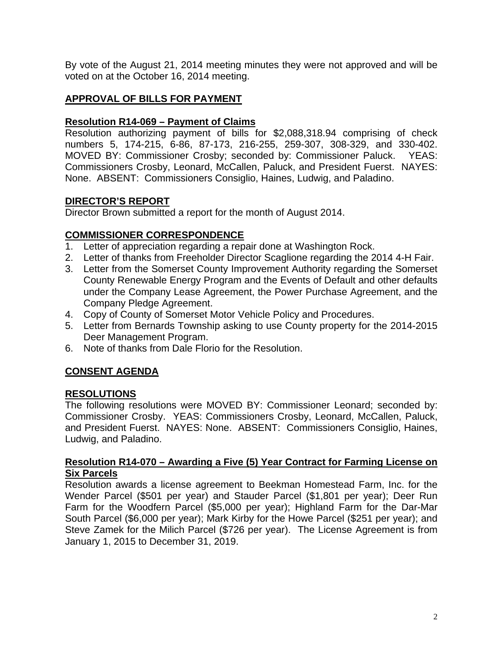By vote of the August 21, 2014 meeting minutes they were not approved and will be voted on at the October 16, 2014 meeting.

# **APPROVAL OF BILLS FOR PAYMENT**

# **Resolution R14-069 – Payment of Claims**

Resolution authorizing payment of bills for \$2,088,318.94 comprising of check numbers 5, 174-215, 6-86, 87-173, 216-255, 259-307, 308-329, and 330-402. MOVED BY: Commissioner Crosby; seconded by: Commissioner Paluck. YEAS: Commissioners Crosby, Leonard, McCallen, Paluck, and President Fuerst. NAYES: None. ABSENT: Commissioners Consiglio, Haines, Ludwig, and Paladino.

## **DIRECTOR'S REPORT**

Director Brown submitted a report for the month of August 2014.

## **COMMISSIONER CORRESPONDENCE**

- 1. Letter of appreciation regarding a repair done at Washington Rock.
- 2. Letter of thanks from Freeholder Director Scaglione regarding the 2014 4-H Fair.
- 3. Letter from the Somerset County Improvement Authority regarding the Somerset County Renewable Energy Program and the Events of Default and other defaults under the Company Lease Agreement, the Power Purchase Agreement, and the Company Pledge Agreement.
- 4. Copy of County of Somerset Motor Vehicle Policy and Procedures.
- 5. Letter from Bernards Township asking to use County property for the 2014-2015 Deer Management Program.
- 6. Note of thanks from Dale Florio for the Resolution.

# **CONSENT AGENDA**

### **RESOLUTIONS**

The following resolutions were MOVED BY: Commissioner Leonard; seconded by: Commissioner Crosby. YEAS: Commissioners Crosby, Leonard, McCallen, Paluck, and President Fuerst. NAYES: None. ABSENT: Commissioners Consiglio, Haines, Ludwig, and Paladino.

#### **Resolution R14-070 – Awarding a Five (5) Year Contract for Farming License on Six Parcels**

Resolution awards a license agreement to Beekman Homestead Farm, Inc. for the Wender Parcel (\$501 per year) and Stauder Parcel (\$1,801 per year); Deer Run Farm for the Woodfern Parcel (\$5,000 per year); Highland Farm for the Dar-Mar South Parcel (\$6,000 per year); Mark Kirby for the Howe Parcel (\$251 per year); and Steve Zamek for the Milich Parcel (\$726 per year). The License Agreement is from January 1, 2015 to December 31, 2019.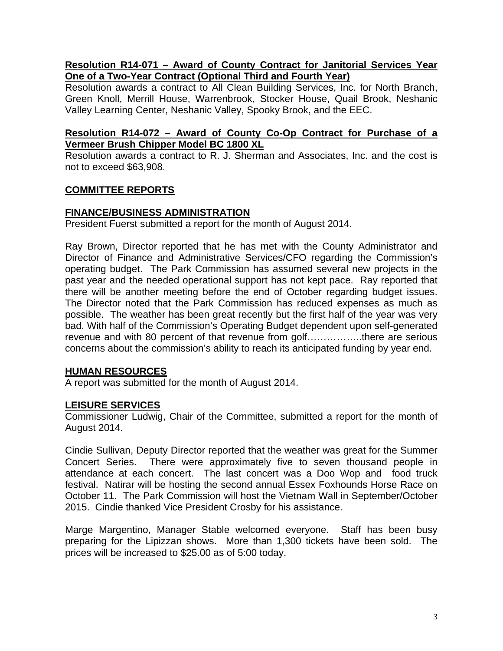## **Resolution R14-071 – Award of County Contract for Janitorial Services Year One of a Two-Year Contract (Optional Third and Fourth Year)**

Resolution awards a contract to All Clean Building Services, Inc. for North Branch, Green Knoll, Merrill House, Warrenbrook, Stocker House, Quail Brook, Neshanic Valley Learning Center, Neshanic Valley, Spooky Brook, and the EEC.

## **Resolution R14-072 – Award of County Co-Op Contract for Purchase of a Vermeer Brush Chipper Model BC 1800 XL**

Resolution awards a contract to R. J. Sherman and Associates, Inc. and the cost is not to exceed \$63,908.

## **COMMITTEE REPORTS**

### **FINANCE/BUSINESS ADMINISTRATION**

President Fuerst submitted a report for the month of August 2014.

Ray Brown, Director reported that he has met with the County Administrator and Director of Finance and Administrative Services/CFO regarding the Commission's operating budget. The Park Commission has assumed several new projects in the past year and the needed operational support has not kept pace. Ray reported that there will be another meeting before the end of October regarding budget issues. The Director noted that the Park Commission has reduced expenses as much as possible. The weather has been great recently but the first half of the year was very bad. With half of the Commission's Operating Budget dependent upon self-generated revenue and with 80 percent of that revenue from golf……………..there are serious concerns about the commission's ability to reach its anticipated funding by year end.

### **HUMAN RESOURCES**

A report was submitted for the month of August 2014.

### **LEISURE SERVICES**

Commissioner Ludwig, Chair of the Committee, submitted a report for the month of August 2014.

Cindie Sullivan, Deputy Director reported that the weather was great for the Summer Concert Series. There were approximately five to seven thousand people in attendance at each concert. The last concert was a Doo Wop and food truck festival. Natirar will be hosting the second annual Essex Foxhounds Horse Race on October 11. The Park Commission will host the Vietnam Wall in September/October 2015. Cindie thanked Vice President Crosby for his assistance.

Marge Margentino, Manager Stable welcomed everyone. Staff has been busy preparing for the Lipizzan shows. More than 1,300 tickets have been sold. The prices will be increased to \$25.00 as of 5:00 today.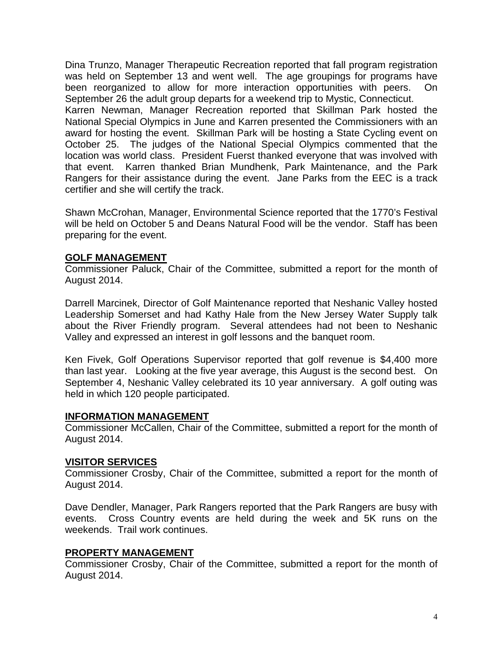Dina Trunzo, Manager Therapeutic Recreation reported that fall program registration was held on September 13 and went well. The age groupings for programs have been reorganized to allow for more interaction opportunities with peers. On September 26 the adult group departs for a weekend trip to Mystic, Connecticut. Karren Newman, Manager Recreation reported that Skillman Park hosted the National Special Olympics in June and Karren presented the Commissioners with an award for hosting the event. Skillman Park will be hosting a State Cycling event on October 25. The judges of the National Special Olympics commented that the location was world class. President Fuerst thanked everyone that was involved with that event. Karren thanked Brian Mundhenk, Park Maintenance, and the Park Rangers for their assistance during the event. Jane Parks from the EEC is a track certifier and she will certify the track.

Shawn McCrohan, Manager, Environmental Science reported that the 1770's Festival will be held on October 5 and Deans Natural Food will be the vendor. Staff has been preparing for the event.

#### **GOLF MANAGEMENT**

Commissioner Paluck, Chair of the Committee, submitted a report for the month of August 2014.

Darrell Marcinek, Director of Golf Maintenance reported that Neshanic Valley hosted Leadership Somerset and had Kathy Hale from the New Jersey Water Supply talk about the River Friendly program. Several attendees had not been to Neshanic Valley and expressed an interest in golf lessons and the banquet room.

Ken Fivek, Golf Operations Supervisor reported that golf revenue is \$4,400 more than last year. Looking at the five year average, this August is the second best. On September 4, Neshanic Valley celebrated its 10 year anniversary. A golf outing was held in which 120 people participated.

#### **INFORMATION MANAGEMENT**

Commissioner McCallen, Chair of the Committee, submitted a report for the month of August 2014.

#### **VISITOR SERVICES**

Commissioner Crosby, Chair of the Committee, submitted a report for the month of August 2014.

Dave Dendler, Manager, Park Rangers reported that the Park Rangers are busy with events. Cross Country events are held during the week and 5K runs on the weekends. Trail work continues.

### **PROPERTY MANAGEMENT**

Commissioner Crosby, Chair of the Committee, submitted a report for the month of August 2014.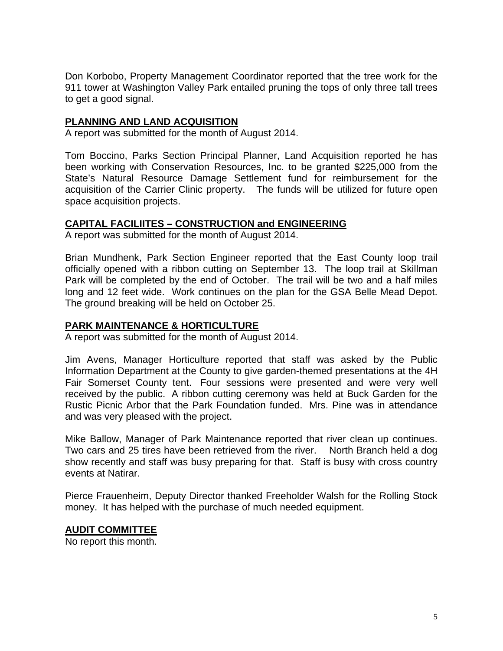Don Korbobo, Property Management Coordinator reported that the tree work for the 911 tower at Washington Valley Park entailed pruning the tops of only three tall trees to get a good signal.

## **PLANNING AND LAND ACQUISITION**

A report was submitted for the month of August 2014.

Tom Boccino, Parks Section Principal Planner, Land Acquisition reported he has been working with Conservation Resources, Inc. to be granted \$225,000 from the State's Natural Resource Damage Settlement fund for reimbursement for the acquisition of the Carrier Clinic property. The funds will be utilized for future open space acquisition projects.

### **CAPITAL FACILIITES – CONSTRUCTION and ENGINEERING**

A report was submitted for the month of August 2014.

Brian Mundhenk, Park Section Engineer reported that the East County loop trail officially opened with a ribbon cutting on September 13. The loop trail at Skillman Park will be completed by the end of October. The trail will be two and a half miles long and 12 feet wide. Work continues on the plan for the GSA Belle Mead Depot. The ground breaking will be held on October 25.

#### **PARK MAINTENANCE & HORTICULTURE**

A report was submitted for the month of August 2014.

Jim Avens, Manager Horticulture reported that staff was asked by the Public Information Department at the County to give garden-themed presentations at the 4H Fair Somerset County tent. Four sessions were presented and were very well received by the public. A ribbon cutting ceremony was held at Buck Garden for the Rustic Picnic Arbor that the Park Foundation funded. Mrs. Pine was in attendance and was very pleased with the project.

Mike Ballow, Manager of Park Maintenance reported that river clean up continues. Two cars and 25 tires have been retrieved from the river. North Branch held a dog show recently and staff was busy preparing for that. Staff is busy with cross country events at Natirar.

Pierce Frauenheim, Deputy Director thanked Freeholder Walsh for the Rolling Stock money. It has helped with the purchase of much needed equipment.

#### **AUDIT COMMITTEE**

No report this month.